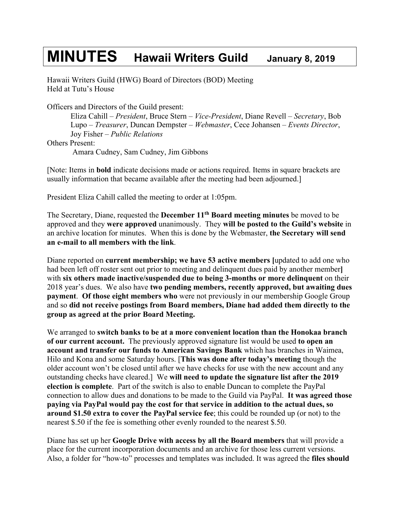## **MINUTES Hawaii Writers Guild January 8, <sup>2019</sup>**

Hawaii Writers Guild (HWG) Board of Directors (BOD) Meeting Held at Tutu's House

Officers and Directors of the Guild present:

Eliza Cahill – *President*, Bruce Stern – *Vice-President*, Diane Revell – *Secretary*, Bob Lupo – *Treasurer*, Duncan Dempster – *Webmaster*, Cece Johansen – *Events Director*, Joy Fisher – *Public Relations* Others Present: Amara Cudney, Sam Cudney, Jim Gibbons

[Note: Items in **bold** indicate decisions made or actions required. Items in square brackets are usually information that became available after the meeting had been adjourned.]

President Eliza Cahill called the meeting to order at 1:05pm.

The Secretary, Diane, requested the **December 11th Board meeting minutes** be moved to be approved and they **were approved** unanimously. They **will be posted to the Guild's website** in an archive location for minutes. When this is done by the Webmaster, **the Secretary will send an e-mail to all members with the link**.

Diane reported on **current membership; we have 53 active members [**updated to add one who had been left off roster sent out prior to meeting and delinquent dues paid by another member**]**  with **six others made inactive/suspended due to being 3-months or more delinquent** on their 2018 year's dues. We also have **two pending members, recently approved, but awaiting dues payment**. **Of those eight members who** were not previously in our membership Google Group and so **did not receive postings from Board members, Diane had added them directly to the group as agreed at the prior Board Meeting.** 

We arranged to **switch banks to be at a more convenient location than the Honokaa branch of our current account.** The previously approved signature list would be used **to open an account and transfer our funds to American Savings Bank** which has branches in Waimea, Hilo and Kona and some Saturday hours. [**This was done after today's meeting** though the older account won't be closed until after we have checks for use with the new account and any outstanding checks have cleared.] We **will need to update the signature list after the 2019 election is complete**. Part of the switch is also to enable Duncan to complete the PayPal connection to allow dues and donations to be made to the Guild via PayPal. **It was agreed those paying via PayPal would pay the cost for that service in addition to the actual dues, so around \$1.50 extra to cover the PayPal service fee**; this could be rounded up (or not) to the nearest \$.50 if the fee is something other evenly rounded to the nearest \$.50.

Diane has set up her **Google Drive with access by all the Board members** that will provide a place for the current incorporation documents and an archive for those less current versions. Also, a folder for "how-to" processes and templates was included. It was agreed the **files should**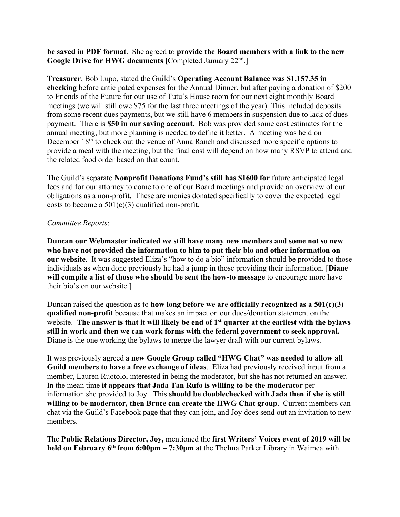**be saved in PDF format**. She agreed to **provide the Board members with a link to the new Google Drive for HWG documents [**Completed January 22nd.]

**Treasurer**, Bob Lupo, stated the Guild's **Operating Account Balance was \$1,157.35 in checking** before anticipated expenses for the Annual Dinner, but after paying a donation of \$200 to Friends of the Future for our use of Tutu's House room for our next eight monthly Board meetings (we will still owe \$75 for the last three meetings of the year). This included deposits from some recent dues payments, but we still have 6 members in suspension due to lack of dues payment. There is **\$50 in our saving account**. Bob was provided some cost estimates for the annual meeting, but more planning is needed to define it better. A meeting was held on December 18<sup>th</sup> to check out the venue of Anna Ranch and discussed more specific options to provide a meal with the meeting, but the final cost will depend on how many RSVP to attend and the related food order based on that count.

The Guild's separate **Nonprofit Donations Fund's still has \$1600 for** future anticipated legal fees and for our attorney to come to one of our Board meetings and provide an overview of our obligations as a non-profit. These are monies donated specifically to cover the expected legal costs to become a  $501(c)(3)$  qualified non-profit.

## *Committee Reports*:

**Duncan our Webmaster indicated we still have many new members and some not so new who have not provided the information to him to put their bio and other information on our website**. It was suggested Eliza's "how to do a bio" information should be provided to those individuals as when done previously he had a jump in those providing their information. [**Diane will compile a list of those who should be sent the how-to message** to encourage more have their bio's on our website.]

Duncan raised the question as to **how long before we are officially recognized as a 501(c)(3) qualified non-profit** because that makes an impact on our dues/donation statement on the website. **The answer is that it will likely be end of 1st quarter at the earliest with the bylaws still in work and then we can work forms with the federal government to seek approval.**  Diane is the one working the bylaws to merge the lawyer draft with our current bylaws.

It was previously agreed a **new Google Group called "HWG Chat" was needed to allow all Guild members to have a free exchange of ideas**. Eliza had previously received input from a member, Lauren Ruotolo, interested in being the moderator, but she has not returned an answer. In the mean time **it appears that Jada Tan Rufo is willing to be the moderator** per information she provided to Joy. This **should be doublechecked with Jada then if she is still willing to be moderator, then Bruce can create the HWG Chat group**. Current members can chat via the Guild's Facebook page that they can join, and Joy does send out an invitation to new members.

The **Public Relations Director, Joy,** mentioned the **first Writers' Voices event of 2019 will be held on February 6th from 6:00pm – 7:30pm** at the Thelma Parker Library in Waimea with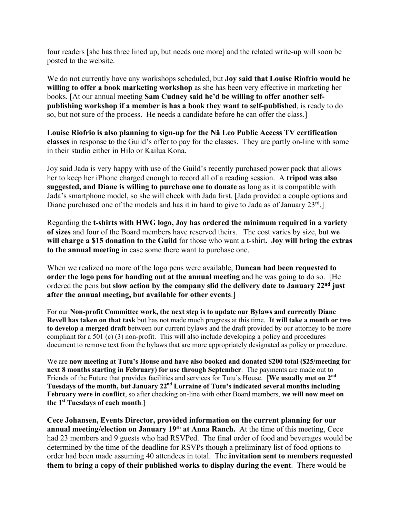four readers [she has three lined up, but needs one more] and the related write-up will soon be posted to the website.

We do not currently have any workshops scheduled, but **Joy said that Louise Riofrio would be willing to offer a book marketing workshop** as she has been very effective in marketing her books. [At our annual meeting **Sam Cudney said he'd be willing to offer another selfpublishing workshop if a member is has a book they want to self-published**, is ready to do so, but not sure of the process. He needs a candidate before he can offer the class.]

**Louise Riofrio is also planning to sign-up for the Nā Leo Public Access TV certification classes** in response to the Guild's offer to pay for the classes. They are partly on-line with some in their studio either in Hilo or Kailua Kona.

Joy said Jada is very happy with use of the Guild's recently purchased power pack that allows her to keep her iPhone charged enough to record all of a reading session. A **tripod was also suggested, and Diane is willing to purchase one to donate** as long as it is compatible with Jada's smartphone model, so she will check with Jada first. [Jada provided a couple options and Diane purchased one of the models and has it in hand to give to Jada as of January  $23^{rd}$ .]

Regarding the **t-shirts with HWG logo, Joy has ordered the minimum required in a variety of sizes** and four of the Board members have reserved theirs. The cost varies by size, but **we will charge a \$15 donation to the Guild** for those who want a t-shirt**. Joy will bring the extras to the annual meeting** in case some there want to purchase one.

When we realized no more of the logo pens were available, **Duncan had been requested to order the logo pens for handing out at the annual meeting** and he was going to do so. [He ordered the pens but **slow action by the company slid the delivery date to January 22nd just after the annual meeting, but available for other events**.]

For our **Non-profit Committee work, the next step is to update our Bylaws and currently Diane Revell has taken on that task** but has not made much progress at this time. **It will take a month or two to develop a merged draft** between our current bylaws and the draft provided by our attorney to be more compliant for a 501 (c) (3) non-profit. This will also include developing a policy and procedures document to remove text from the bylaws that are more appropriately designated as policy or procedure.

We are **now meeting at Tutu's House and have also booked and donated \$200 total (\$25/meeting for next 8 months starting in February) for use through September**. The payments are made out to Friends of the Future that provides facilities and services for Tutu's House. [**We usually met on 2nd Tuesdays of the month, but January 22nd Lorraine of Tutu's indicated several months including February were in conflict**, so after checking on-line with other Board members, **we will now meet on the 1st Tuesdays of each month**.]

**Cece Johansen, Events Director, provided information on the current planning for our annual meeting/election on January 19th at Anna Ranch.** At the time of this meeting, Cece had 23 members and 9 guests who had RSVPed. The final order of food and beverages would be determined by the time of the deadline for RSVPs though a preliminary list of food options to order had been made assuming 40 attendees in total. The **invitation sent to members requested them to bring a copy of their published works to display during the event**. There would be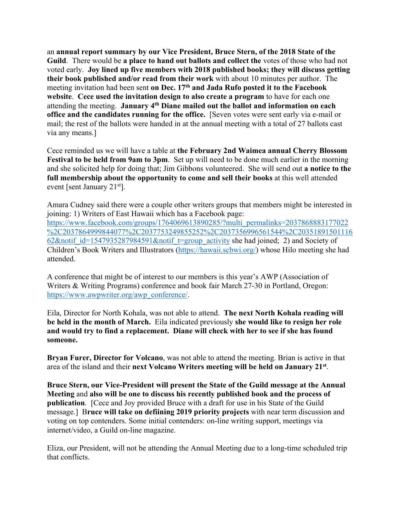an **annual report summary by our Vice President, Bruce Stern, of the 2018 State of the Guild**. There would be **a place to hand out ballots and collect the** votes of those who had not voted early. **Joy lined up five members with 2018 published books; they will discuss getting their book published and/or read from their work** with about 10 minutes per author. The meeting invitation had been sent **on Dec. 17th and Jada Rufo posted it to the Facebook website**. **Cece used the invitation design to also create a program** to have for each one attending the meeting. **January 4th Diane mailed out the ballot and information on each office and the candidates running for the office.** [Seven votes were sent early via e-mail or mail; the rest of the ballots were handed in at the annual meeting with a total of 27 ballots cast via any means.]

Cece reminded us we will have a table at **the February 2nd Waimea annual Cherry Blossom Festival to be held from 9am to 3pm**. Set up will need to be done much earlier in the morning and she solicited help for doing that; Jim Gibbons volunteered. She will send out **a notice to the full membership about the opportunity to come and sell their books** at this well attended event [sent January  $21<sup>st</sup>$ ].

Amara Cudney said there were a couple other writers groups that members might be interested in joining: 1) Writers of East Hawaii which has a Facebook page: https://www.facebook.com/groups/1764069613890285/?multi\_permalinks=2037868883177022 %2C2037864999844077%2C2037753249855252%2C2037356996561544%2C20351891501116 62&notif id=1547935287984591&notif t=group activity she had joined; 2) and Society of Children's Book Writers and Illustrators (https://hawaii.scbwi.org/) whose Hilo meeting she had attended.

A conference that might be of interest to our members is this year's AWP (Association of Writers & Writing Programs) conference and book fair March 27-30 in Portland, Oregon: https://www.awpwriter.org/awp\_conference/.

Eila, Director for North Kohala, was not able to attend. **The next North Kohala reading will be held in the month of March.** Eila indicated previously **she would like to resign her role and would try to find a replacement. Diane will check with her to see if she has found someone.**

**Bryan Furer, Director for Volcano**, was not able to attend the meeting. Brian is active in that area of the island and their **next Volcano Writers meeting will be held on January 21st**.

**Bruce Stern, our Vice-President will present the State of the Guild message at the Annual Meeting** and **also will be one to discuss his recently published book and the process of publication**. [Cece and Joy provided Bruce with a draft for use in his State of the Guild message.] B**ruce will take on defiining 2019 priority projects** with near term discussion and voting on top contenders. Some initial contenders: on-line writing support, meetings via internet/video, a Guild on-line magazine.

Eliza, our President, will not be attending the Annual Meeting due to a long-time scheduled trip that conflicts.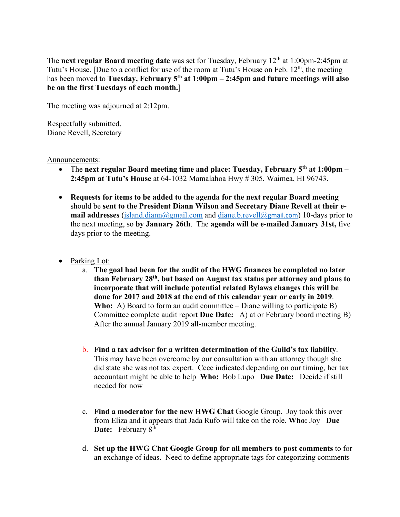The **next regular Board meeting date** was set for Tuesday, February 12th at 1:00pm-2:45pm at Tutu's House. [Due to a conflict for use of the room at Tutu's House on Feb. 12<sup>th</sup>, the meeting has been moved to **Tuesday, February 5th at 1:00pm – 2:45pm and future meetings will also be on the first Tuesdays of each month.**]

The meeting was adjourned at 2:12pm.

Respectfully submitted, Diane Revell, Secretary

## Announcements:

- The **next regular Board meeting time and place: Tuesday, February 5th at 1:00pm – 2:45pm at Tutu's House** at 64-1032 Mamalahoa Hwy # 305, Waimea, HI 96743.
- **Requests for items to be added to the agenda for the next regular Board meeting** should be **sent to the President Diann Wilson and Secretary Diane Revell at their email addresses** (island.diann@gmail.com and diane.b.revell@gmail.com) 10-days prior to the next meeting, so **by January 26th**. The **agenda will be e-mailed January 31st,** five days prior to the meeting.
- Parking Lot:
	- a. **The goal had been for the audit of the HWG finances be completed no later than February 28th, but based on August tax status per attorney and plans to incorporate that will include potential related Bylaws changes this will be done for 2017 and 2018 at the end of this calendar year or early in 2019**. **Who:** A) Board to form an audit committee – Diane willing to participate B) Committee complete audit report **Due Date:** A) at or February board meeting B) After the annual January 2019 all-member meeting.
	- b. **Find a tax advisor for a written determination of the Guild's tax liability**. This may have been overcome by our consultation with an attorney though she did state she was not tax expert. Cece indicated depending on our timing, her tax accountant might be able to help **Who:** Bob Lupo **Due Date:** Decide if still needed for now
	- c. **Find a moderator for the new HWG Chat** Google Group. Joy took this over from Eliza and it appears that Jada Rufo will take on the role. **Who:** Joy **Due**  Date: February 8<sup>th</sup>
	- d. **Set up the HWG Chat Google Group for all members to post comments** to for an exchange of ideas. Need to define appropriate tags for categorizing comments